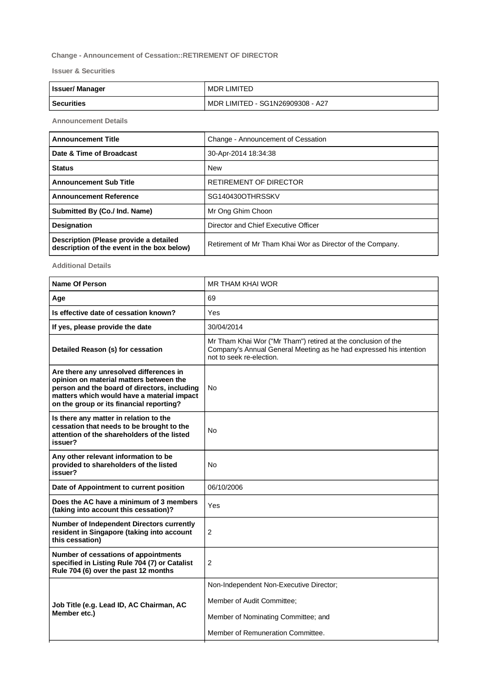## **Change - Announcement of Cessation::RETIREMENT OF DIRECTOR**

**Issuer & Securities**

| <b>Issuer/Manager</b> | MDR LIMITED                        |
|-----------------------|------------------------------------|
| l Securities          | I MDR LIMITED - SG1N26909308 - A27 |

**Announcement Details**

| <b>Announcement Title</b>                                                            | Change - Announcement of Cessation                         |
|--------------------------------------------------------------------------------------|------------------------------------------------------------|
| Date & Time of Broadcast                                                             | 30-Apr-2014 18:34:38                                       |
| <b>Status</b>                                                                        | <b>New</b>                                                 |
| <b>Announcement Sub Title</b>                                                        | RETIREMENT OF DIRECTOR                                     |
| <b>Announcement Reference</b>                                                        | SG140430OTHRSSKV                                           |
| Submitted By (Co./ Ind. Name)                                                        | Mr Ong Ghim Choon                                          |
| <b>Designation</b>                                                                   | Director and Chief Executive Officer                       |
| Description (Please provide a detailed<br>description of the event in the box below) | Retirement of Mr Tham Khai Wor as Director of the Company. |

**Additional Details**

| <b>Name Of Person</b>                                                                                                                                                                                                        | MR THAM KHAI WOR                                                                                                                                                |
|------------------------------------------------------------------------------------------------------------------------------------------------------------------------------------------------------------------------------|-----------------------------------------------------------------------------------------------------------------------------------------------------------------|
| Age                                                                                                                                                                                                                          | 69                                                                                                                                                              |
| Is effective date of cessation known?                                                                                                                                                                                        | Yes                                                                                                                                                             |
| If yes, please provide the date                                                                                                                                                                                              | 30/04/2014                                                                                                                                                      |
| Detailed Reason (s) for cessation                                                                                                                                                                                            | Mr Tham Khai Wor ("Mr Tham") retired at the conclusion of the<br>Company's Annual General Meeting as he had expressed his intention<br>not to seek re-election. |
| Are there any unresolved differences in<br>opinion on material matters between the<br>person and the board of directors, including<br>matters which would have a material impact<br>on the group or its financial reporting? | No.                                                                                                                                                             |
| Is there any matter in relation to the<br>cessation that needs to be brought to the<br>attention of the shareholders of the listed<br>issuer?                                                                                | No                                                                                                                                                              |
| Any other relevant information to be<br>provided to shareholders of the listed<br>issuer?                                                                                                                                    | No                                                                                                                                                              |
| Date of Appointment to current position                                                                                                                                                                                      | 06/10/2006                                                                                                                                                      |
| Does the AC have a minimum of 3 members<br>(taking into account this cessation)?                                                                                                                                             | Yes                                                                                                                                                             |
| Number of Independent Directors currently<br>resident in Singapore (taking into account<br>this cessation)                                                                                                                   | $\overline{2}$                                                                                                                                                  |
| Number of cessations of appointments<br>specified in Listing Rule 704 (7) or Catalist<br>Rule 704 (6) over the past 12 months                                                                                                | $\overline{2}$                                                                                                                                                  |
| Job Title (e.g. Lead ID, AC Chairman, AC<br>Member etc.)                                                                                                                                                                     | Non-Independent Non-Executive Director;                                                                                                                         |
|                                                                                                                                                                                                                              | Member of Audit Committee;                                                                                                                                      |
|                                                                                                                                                                                                                              | Member of Nominating Committee; and                                                                                                                             |
|                                                                                                                                                                                                                              | Member of Remuneration Committee.                                                                                                                               |